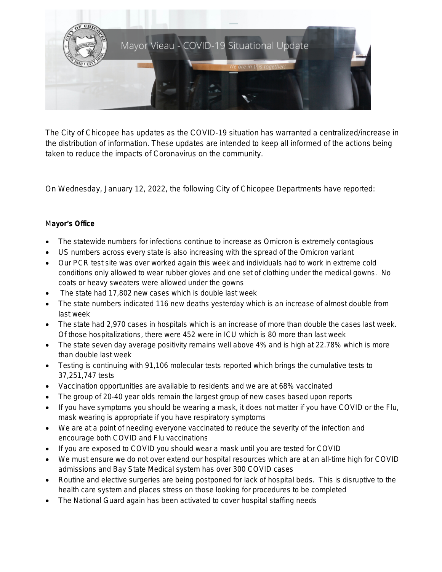

The City of Chicopee has updates as the COVID-19 situation has warranted a centralized/increase in the distribution of information. These updates are intended to keep all informed of the actions being taken to reduce the impacts of Coronavirus on the community.

On Wednesday, January 12, 2022, the following City of Chicopee Departments have reported:

## M**ayor**'**s Office**

- The statewide numbers for infections continue to increase as Omicron is extremely contagious
- US numbers across every state is also increasing with the spread of the Omicron variant
- Our PCR test site was over worked again this week and individuals had to work in extreme cold conditions only allowed to wear rubber gloves and one set of clothing under the medical gowns. No coats or heavy sweaters were allowed under the gowns
- The state had 17,802 new cases which is double last week
- The state numbers indicated 116 new deaths yesterday which is an increase of almost double from last week
- The state had 2,970 cases in hospitals which is an increase of more than double the cases last week. Of those hospitalizations, there were 452 were in ICU which is 80 more than last week
- The state seven day average positivity remains well above 4% and is high at 22.78% which is more than double last week
- Testing is continuing with 91,106 molecular tests reported which brings the cumulative tests to 37,251,747 tests
- Vaccination opportunities are available to residents and we are at 68% vaccinated
- The group of 20-40 year olds remain the largest group of new cases based upon reports
- If you have symptoms you should be wearing a mask, it does not matter if you have COVID or the Flu, mask wearing is appropriate if you have respiratory symptoms
- We are at a point of needing everyone vaccinated to reduce the severity of the infection and encourage both COVID and Flu vaccinations
- If you are exposed to COVID you should wear a mask until you are tested for COVID
- We must ensure we do not over extend our hospital resources which are at an all-time high for COVID admissions and Bay State Medical system has over 300 COVID cases
- Routine and elective surgeries are being postponed for lack of hospital beds. This is disruptive to the health care system and places stress on those looking for procedures to be completed
- The National Guard again has been activated to cover hospital staffing needs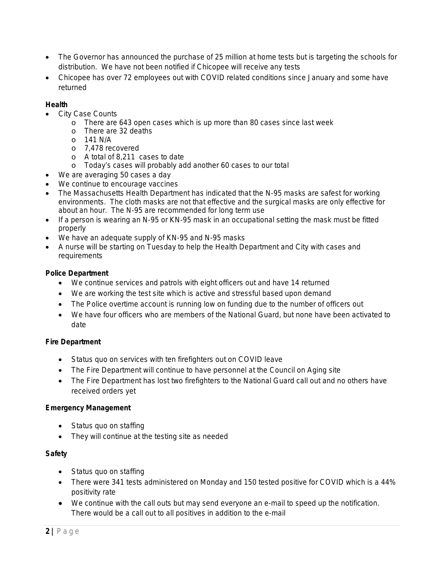- The Governor has announced the purchase of 25 million at home tests but is targeting the schools for distribution. We have not been notified if Chicopee will receive any tests
- Chicopee has over 72 employees out with COVID related conditions since January and some have returned

### **Health**

- City Case Counts
	- o There are 643 open cases which is up more than 80 cases since last week
	- o There are 32 deaths
	- o 141 N/A
	- o 7,478 recovered
	- o A total of 8,211 cases to date
	- o Today's cases will probably add another 60 cases to our total
- We are averaging 50 cases a day
- We continue to encourage vaccines
- The Massachusetts Health Department has indicated that the N-95 masks are safest for working environments. The cloth masks are not that effective and the surgical masks are only effective for about an hour. The N-95 are recommended for long term use
- If a person is wearing an N-95 or KN-95 mask in an occupational setting the mask must be fitted properly
- We have an adequate supply of KN-95 and N-95 masks
- A nurse will be starting on Tuesday to help the Health Department and City with cases and requirements

### **Police Department**

- We continue services and patrols with eight officers out and have 14 returned
- We are working the test site which is active and stressful based upon demand
- The Police overtime account is running low on funding due to the number of officers out
- We have four officers who are members of the National Guard, but none have been activated to date

## **Fire Department**

- Status quo on services with ten firefighters out on COVID leave
- The Fire Department will continue to have personnel at the Council on Aging site
- The Fire Department has lost two firefighters to the National Guard call out and no others have received orders yet

### **Emergency Management**

- Status quo on staffing
- They will continue at the testing site as needed

### **Safety**

- Status quo on staffing
- There were 341 tests administered on Monday and 150 tested positive for COVID which is a 44% positivity rate
- We continue with the call outs but may send everyone an e-mail to speed up the notification. There would be a call out to all positives in addition to the e-mail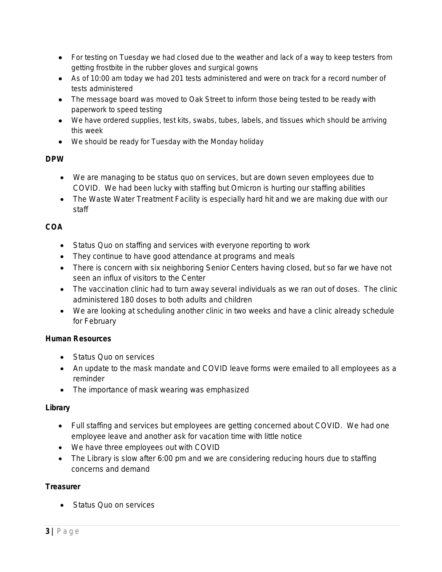- For testing on Tuesday we had closed due to the weather and lack of a way to keep testers from getting frostbite in the rubber gloves and surgical gowns
- As of 10:00 am today we had 201 tests administered and were on track for a record number of tests administered
- The message board was moved to Oak Street to inform those being tested to be ready with paperwork to speed testing
- We have ordered supplies, test kits, swabs, tubes, labels, and tissues which should be arriving this week
- We should be ready for Tuesday with the Monday holiday

# **DPW**

- We are managing to be status quo on services, but are down seven employees due to COVID. We had been lucky with staffing but Omicron is hurting our staffing abilities
- The Waste Water Treatment Facility is especially hard hit and we are making due with our staff

# **COA**

- Status Quo on staffing and services with everyone reporting to work
- They continue to have good attendance at programs and meals
- There is concern with six neighboring Senior Centers having closed, but so far we have not seen an influx of visitors to the Center
- The vaccination clinic had to turn away several individuals as we ran out of doses. The clinic administered 180 doses to both adults and children
- We are looking at scheduling another clinic in two weeks and have a clinic already schedule for February

## **Human Resources**

- **Status Quo on services**
- An update to the mask mandate and COVID leave forms were emailed to all employees as a reminder
- The importance of mask wearing was emphasized

## **Library**

- Full staffing and services but employees are getting concerned about COVID. We had one employee leave and another ask for vacation time with little notice
- We have three employees out with COVID
- The Library is slow after 6:00 pm and we are considering reducing hours due to staffing concerns and demand

## **Treasurer**

• Status Quo on services